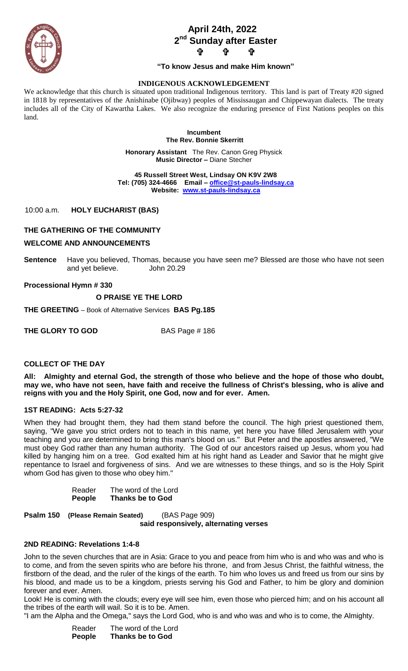

# **April 24th, 2022 2 nd Sunday after Easter ታ ቀ**

### **"To know Jesus and make Him known"**

### **INDIGENOUS ACKNOWLEDGEMENT**

We acknowledge that this church is situated upon traditional Indigenous territory. This land is part of Treaty #20 signed in 1818 by representatives of the Anishinabe (Ojibway) peoples of Mississaugan and Chippewayan dialects. The treaty includes all of the City of Kawartha Lakes. We also recognize the enduring presence of First Nations peoples on this land.

> **Incumbent The Rev. Bonnie Skerritt**

**Honorary Assistant** The Rev. Canon Greg Physick **Music Director –** Diane Stecher

 **45 Russell Street West, Lindsay ON K9V 2W8 Tel: (705) 324-4666 Email – [office@st-pauls-lindsay.ca](mailto:office@st-pauls-lindsay.ca) Website: [www.st-pauls-lindsay.ca](http://www.st-pauls-lindsay.ca/)**

10:00 a.m. **HOLY EUCHARIST (BAS)** 

### **THE GATHERING OF THE COMMUNITY**

#### **WELCOME AND ANNOUNCEMENTS**

**Sentence** Have you believed, Thomas, because you have seen me? Blessed are those who have not seen and yet believe. John 20.29

**Processional Hymn # 330** 

### **O PRAISE YE THE LORD**

**THE GREETING** – Book of Alternative Services **BAS Pg.185**

**THE GLORY TO GOD** BAS Page # 186

### **COLLECT OF THE DAY**

**All: Almighty and eternal God, the strength of those who believe and the hope of those who doubt, may we, who have not seen, have faith and receive the fullness of Christ's blessing, who is alive and reigns with you and the Holy Spirit, one God, now and for ever. Amen.**

### **1ST READING: Acts 5:27-32**

When they had brought them, they had them stand before the council. The high priest questioned them, saying, "We gave you strict orders not to teach in this name, yet here you have filled Jerusalem with your teaching and you are determined to bring this man's blood on us." But Peter and the apostles answered, "We must obey God rather than any human authority. The God of our ancestors raised up Jesus, whom you had killed by hanging him on a tree. God exalted him at his right hand as Leader and Savior that he might give repentance to Israel and forgiveness of sins. And we are witnesses to these things, and so is the Holy Spirit whom God has given to those who obey him."

| Reader        | The word of the Lord    |
|---------------|-------------------------|
| <b>People</b> | <b>Thanks be to God</b> |

**Psalm 150 (Please Remain Seated)** (BAS Page 909) **said responsively, alternating verses**

### **2ND READING: Revelations 1:4-8**

John to the seven churches that are in Asia: Grace to you and peace from him who is and who was and who is to come, and from the seven spirits who are before his throne, and from Jesus Christ, the faithful witness, the firstborn of the dead, and the ruler of the kings of the earth. To him who loves us and freed us from our sins by his blood, and made us to be a kingdom, priests serving his God and Father, to him be glory and dominion forever and ever. Amen.

Look! He is coming with the clouds; every eye will see him, even those who pierced him; and on his account all the tribes of the earth will wail. So it is to be. Amen.

"I am the Alpha and the Omega," says the Lord God, who is and who was and who is to come, the Almighty.

Reader The word of the Lord **People Thanks be to God**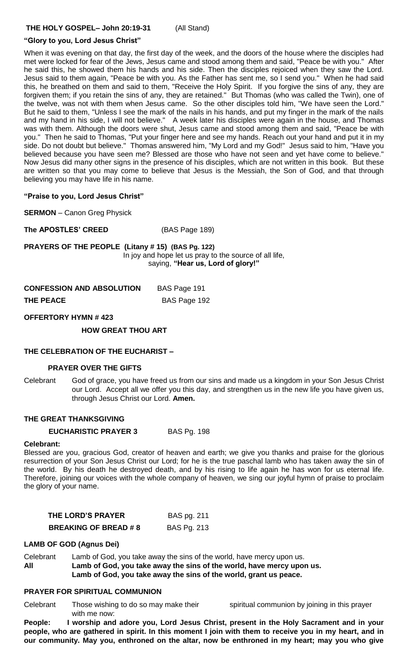## **"Glory to you, Lord Jesus Christ"**

When it was evening on that day, the first day of the week, and the doors of the house where the disciples had met were locked for fear of the Jews, Jesus came and stood among them and said, "Peace be with you." After he said this, he showed them his hands and his side. Then the disciples rejoiced when they saw the Lord. Jesus said to them again, "Peace be with you. As the Father has sent me, so I send you." When he had said this, he breathed on them and said to them, "Receive the Holy Spirit. If you forgive the sins of any, they are forgiven them; if you retain the sins of any, they are retained." But Thomas (who was called the Twin), one of the twelve, was not with them when Jesus came. So the other disciples told him, "We have seen the Lord." But he said to them, "Unless I see the mark of the nails in his hands, and put my finger in the mark of the nails and my hand in his side, I will not believe." A week later his disciples were again in the house, and Thomas was with them. Although the doors were shut, Jesus came and stood among them and said, "Peace be with you." Then he said to Thomas, "Put your finger here and see my hands. Reach out your hand and put it in my side. Do not doubt but believe." Thomas answered him, "My Lord and my God!" Jesus said to him, "Have you believed because you have seen me? Blessed are those who have not seen and yet have come to believe." Now Jesus did many other signs in the presence of his disciples, which are not written in this book. But these are written so that you may come to believe that Jesus is the Messiah, the Son of God, and that through believing you may have life in his name.

### **"Praise to you, Lord Jesus Christ"**

**SERMON** – Canon Greg Physick

**The APOSTLES' CREED** (BAS Page 189)

**PRAYERS OF THE PEOPLE (Litany # 15) (BAS Pg. 122)** In joy and hope let us pray to the source of all life, saying, **"Hear us, Lord of glory!"**

| <b>CONFESSION AND ABSOLUTION</b> | BAS Page 191 |
|----------------------------------|--------------|
| <b>THE PEACE</b>                 | BAS Page 192 |

### **OFFERTORY HYMN # 423**

**HOW GREAT THOU ART** 

### **THE CELEBRATION OF THE EUCHARIST –**

### **PRAYER OVER THE GIFTS**

Celebrant God of grace, you have freed us from our sins and made us a kingdom in your Son Jesus Christ our Lord. Accept all we offer you this day, and strengthen us in the new life you have given us, through Jesus Christ our Lord. **Amen.**

### **THE GREAT THANKSGIVING**

### **EUCHARISTIC PRAYER 3** BAS Pg. 198

# **Celebrant:**

Blessed are you, gracious God, creator of heaven and earth; we give you thanks and praise for the glorious resurrection of your Son Jesus Christ our Lord; for he is the true paschal lamb who has taken away the sin of the world. By his death he destroyed death, and by his rising to life again he has won for us eternal life. Therefore, joining our voices with the whole company of heaven, we sing our joyful hymn of praise to proclaim the glory of your name.

| THE LORD'S PRAYER           | BAS pg. 211        |
|-----------------------------|--------------------|
| <b>BREAKING OF BREAD #8</b> | <b>BAS Pg. 213</b> |

# **LAMB OF GOD (Agnus Dei)**

Celebrant Lamb of God, you take away the sins of the world, have mercy upon us. **All Lamb of God, you take away the sins of the world, have mercy upon us. Lamb of God, you take away the sins of the world, grant us peace.** 

# **PRAYER FOR SPIRITUAL COMMUNION**

Celebrant Those wishing to do so may make their spiritual communion by joining in this prayer with me now:

**People: I worship and adore you, Lord Jesus Christ, present in the Holy Sacrament and in your people, who are gathered in spirit. In this moment I join with them to receive you in my heart, and in our community. May you, enthroned on the altar, now be enthroned in my heart; may you who give**